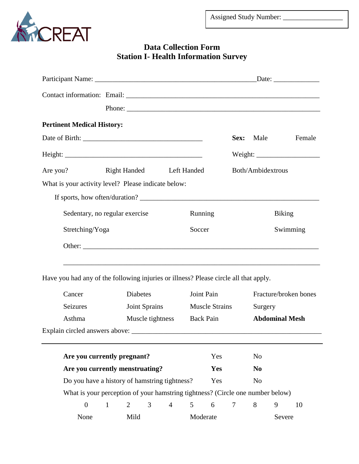

## **Data Collection Form Station I- Health Information Survey**

|                                                                                      |                                |                 |               |                | Phone:                                                                            |                       |                   |                |                       |  |        |  |
|--------------------------------------------------------------------------------------|--------------------------------|-----------------|---------------|----------------|-----------------------------------------------------------------------------------|-----------------------|-------------------|----------------|-----------------------|--|--------|--|
| <b>Pertinent Medical History:</b>                                                    |                                |                 |               |                |                                                                                   |                       |                   |                |                       |  |        |  |
|                                                                                      |                                |                 |               |                |                                                                                   |                       | Sex:              |                | Male                  |  | Female |  |
|                                                                                      |                                |                 |               |                |                                                                                   |                       |                   |                |                       |  |        |  |
| Are you?                                                                             | Right Handed Left Handed       |                 |               |                |                                                                                   |                       | Both/Ambidextrous |                |                       |  |        |  |
| What is your activity level? Please indicate below:                                  |                                |                 |               |                |                                                                                   |                       |                   |                |                       |  |        |  |
|                                                                                      |                                |                 |               |                |                                                                                   |                       |                   |                |                       |  |        |  |
|                                                                                      | Sedentary, no regular exercise |                 |               |                |                                                                                   | Running               |                   | <b>Biking</b>  |                       |  |        |  |
|                                                                                      | Stretching/Yoga                |                 |               |                | Soccer                                                                            |                       |                   | Swimming       |                       |  |        |  |
|                                                                                      |                                |                 |               |                |                                                                                   |                       |                   |                |                       |  |        |  |
| Have you had any of the following injuries or illness? Please circle all that apply. |                                |                 |               |                | ,我们也不能在这里的时候,我们也不能在这里的时候,我们也不能不能不能不能不能不能不能不能不能不能不能不能不能不能不能。""我们的是,我们也不能不能不能不能不能不能 |                       |                   |                |                       |  |        |  |
| Cancer                                                                               |                                | <b>Diabetes</b> |               |                |                                                                                   | Joint Pain            |                   |                | Fracture/broken bones |  |        |  |
| Seizures                                                                             |                                |                 | Joint Sprains |                |                                                                                   | <b>Muscle Strains</b> |                   |                | Surgery               |  |        |  |
| Asthma                                                                               | Muscle tightness               |                 |               |                |                                                                                   | <b>Back Pain</b>      |                   |                | <b>Abdominal Mesh</b> |  |        |  |
| Explain circled answers above:                                                       |                                |                 |               |                |                                                                                   |                       |                   |                |                       |  |        |  |
|                                                                                      |                                |                 |               |                |                                                                                   |                       |                   |                |                       |  |        |  |
| Are you currently pregnant?                                                          |                                |                 |               |                |                                                                                   | Yes                   |                   | N <sub>o</sub> |                       |  |        |  |
| Are you currently menstruating?                                                      |                                |                 |               |                | <b>Yes</b>                                                                        |                       | N <sub>0</sub>    |                |                       |  |        |  |
| Do you have a history of hamstring tightness?                                        |                                |                 |               |                |                                                                                   | Yes                   |                   | N <sub>o</sub> |                       |  |        |  |
| What is your perception of your hamstring tightness? (Circle one number below)       |                                |                 |               |                |                                                                                   |                       |                   |                |                       |  |        |  |
| $\boldsymbol{0}$                                                                     | $\mathbf{1}$                   | $\overline{2}$  | 3             | $\overline{4}$ | 5                                                                                 | 6                     | 7                 | 8              | 9                     |  | 10     |  |

None Mild Moderate Severe